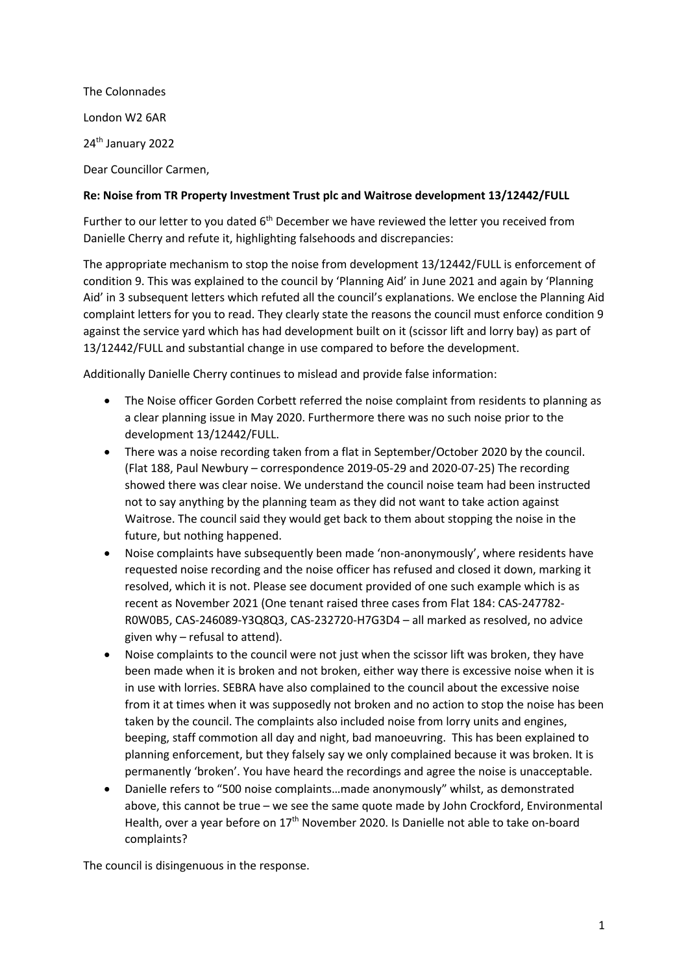The Colonnades London W2 6AR 24<sup>th</sup> January 2022 Dear Councillor Carmen,

#### **Re: Noise from TR Property Investment Trust plc and Waitrose development 13/12442/FULL**

Further to our letter to you dated 6<sup>th</sup> December we have reviewed the letter you received from Danielle Cherry and refute it, highlighting falsehoods and discrepancies:

The appropriate mechanism to stop the noise from development 13/12442/FULL is enforcement of condition 9. This was explained to the council by 'Planning Aid' in June 2021 and again by 'Planning Aid' in 3 subsequent letters which refuted all the council's explanations. We enclose the Planning Aid complaint letters for you to read. They clearly state the reasons the council must enforce condition 9 against the service yard which has had development built on it (scissor lift and lorry bay) as part of 13/12442/FULL and substantial change in use compared to before the development.

Additionally Danielle Cherry continues to mislead and provide false information:

- The Noise officer Gorden Corbett referred the noise complaint from residents to planning as a clear planning issue in May 2020. Furthermore there was no such noise prior to the development 13/12442/FULL.
- There was a noise recording taken from a flat in September/October 2020 by the council. (Flat 188, Paul Newbury – correspondence 2019-05-29 and 2020-07-25) The recording showed there was clear noise. We understand the council noise team had been instructed not to say anything by the planning team as they did not want to take action against Waitrose. The council said they would get back to them about stopping the noise in the future, but nothing happened.
- Noise complaints have subsequently been made 'non-anonymously', where residents have requested noise recording and the noise officer has refused and closed it down, marking it resolved, which it is not. Please see document provided of one such example which is as recent as November 2021 (One tenant raised three cases from Flat 184: CAS-247782- R0W0B5, CAS-246089-Y3Q8Q3, CAS-232720-H7G3D4 – all marked as resolved, no advice given why – refusal to attend).
- Noise complaints to the council were not just when the scissor lift was broken, they have been made when it is broken and not broken, either way there is excessive noise when it is in use with lorries. SEBRA have also complained to the council about the excessive noise from it at times when it was supposedly not broken and no action to stop the noise has been taken by the council. The complaints also included noise from lorry units and engines, beeping, staff commotion all day and night, bad manoeuvring. This has been explained to planning enforcement, but they falsely say we only complained because it was broken. It is permanently 'broken'. You have heard the recordings and agree the noise is unacceptable.
- Danielle refers to "500 noise complaints…made anonymously" whilst, as demonstrated above, this cannot be true – we see the same quote made by John Crockford, Environmental Health, over a year before on 17<sup>th</sup> November 2020. Is Danielle not able to take on-board complaints?

The council is disingenuous in the response.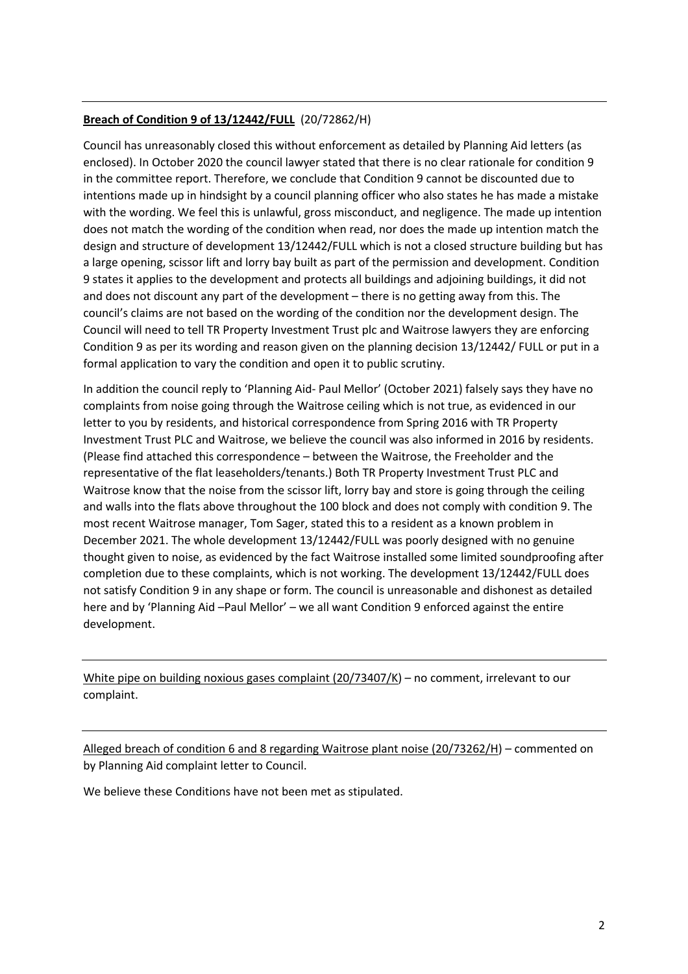# **Breach of Condition 9 of 13/12442/FULL** (20/72862/H)

Council has unreasonably closed this without enforcement as detailed by Planning Aid letters (as enclosed). In October 2020 the council lawyer stated that there is no clear rationale for condition 9 in the committee report. Therefore, we conclude that Condition 9 cannot be discounted due to intentions made up in hindsight by a council planning officer who also states he has made a mistake with the wording. We feel this is unlawful, gross misconduct, and negligence. The made up intention does not match the wording of the condition when read, nor does the made up intention match the design and structure of development 13/12442/FULL which is not a closed structure building but has a large opening, scissor lift and lorry bay built as part of the permission and development. Condition 9 states it applies to the development and protects all buildings and adjoining buildings, it did not and does not discount any part of the development – there is no getting away from this. The council's claims are not based on the wording of the condition nor the development design. The Council will need to tell TR Property Investment Trust plc and Waitrose lawyers they are enforcing Condition 9 as per its wording and reason given on the planning decision 13/12442/ FULL or put in a formal application to vary the condition and open it to public scrutiny.

In addition the council reply to 'Planning Aid- Paul Mellor' (October 2021) falsely says they have no complaints from noise going through the Waitrose ceiling which is not true, as evidenced in our letter to you by residents, and historical correspondence from Spring 2016 with TR Property Investment Trust PLC and Waitrose, we believe the council was also informed in 2016 by residents. (Please find attached this correspondence – between the Waitrose, the Freeholder and the representative of the flat leaseholders/tenants.) Both TR Property Investment Trust PLC and Waitrose know that the noise from the scissor lift, lorry bay and store is going through the ceiling and walls into the flats above throughout the 100 block and does not comply with condition 9. The most recent Waitrose manager, Tom Sager, stated this to a resident as a known problem in December 2021. The whole development 13/12442/FULL was poorly designed with no genuine thought given to noise, as evidenced by the fact Waitrose installed some limited soundproofing after completion due to these complaints, which is not working. The development 13/12442/FULL does not satisfy Condition 9 in any shape or form. The council is unreasonable and dishonest as detailed here and by 'Planning Aid –Paul Mellor' – we all want Condition 9 enforced against the entire development.

White pipe on building noxious gases complaint (20/73407/K) – no comment, irrelevant to our complaint.

Alleged breach of condition 6 and 8 regarding Waitrose plant noise (20/73262/H) – commented on by Planning Aid complaint letter to Council.

We believe these Conditions have not been met as stipulated.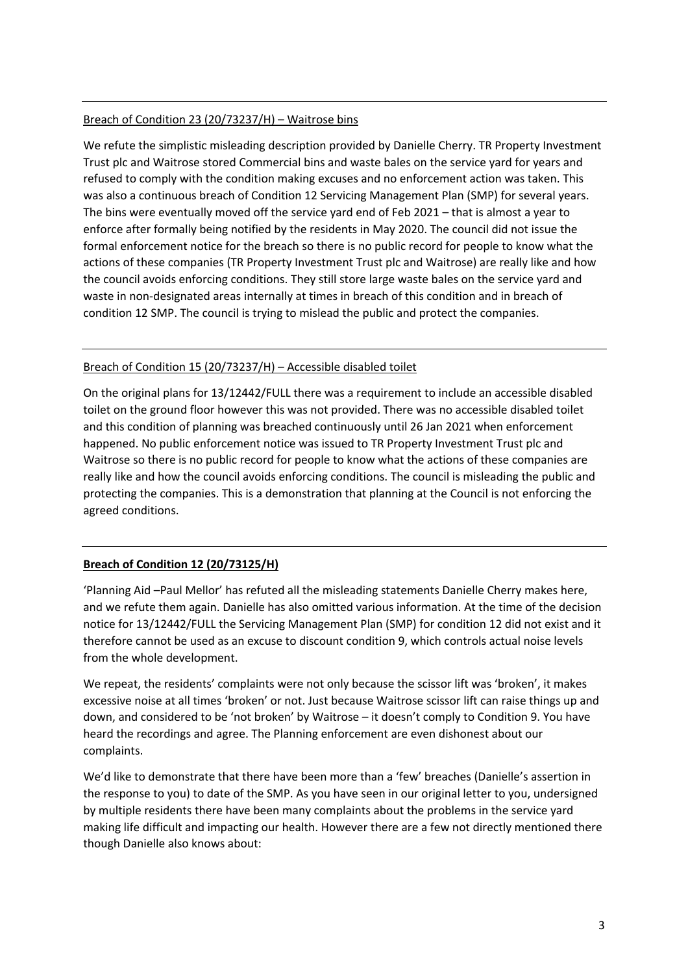## Breach of Condition 23 (20/73237/H) – Waitrose bins

We refute the simplistic misleading description provided by Danielle Cherry. TR Property Investment Trust plc and Waitrose stored Commercial bins and waste bales on the service yard for years and refused to comply with the condition making excuses and no enforcement action was taken. This was also a continuous breach of Condition 12 Servicing Management Plan (SMP) for several years. The bins were eventually moved off the service yard end of Feb 2021 – that is almost a year to enforce after formally being notified by the residents in May 2020. The council did not issue the formal enforcement notice for the breach so there is no public record for people to know what the actions of these companies (TR Property Investment Trust plc and Waitrose) are really like and how the council avoids enforcing conditions. They still store large waste bales on the service yard and waste in non-designated areas internally at times in breach of this condition and in breach of condition 12 SMP. The council is trying to mislead the public and protect the companies.

#### Breach of Condition 15 (20/73237/H) – Accessible disabled toilet

On the original plans for 13/12442/FULL there was a requirement to include an accessible disabled toilet on the ground floor however this was not provided. There was no accessible disabled toilet and this condition of planning was breached continuously until 26 Jan 2021 when enforcement happened. No public enforcement notice was issued to TR Property Investment Trust plc and Waitrose so there is no public record for people to know what the actions of these companies are really like and how the council avoids enforcing conditions. The council is misleading the public and protecting the companies. This is a demonstration that planning at the Council is not enforcing the agreed conditions.

## **Breach of Condition 12 (20/73125/H)**

'Planning Aid –Paul Mellor' has refuted all the misleading statements Danielle Cherry makes here, and we refute them again. Danielle has also omitted various information. At the time of the decision notice for 13/12442/FULL the Servicing Management Plan (SMP) for condition 12 did not exist and it therefore cannot be used as an excuse to discount condition 9, which controls actual noise levels from the whole development.

We repeat, the residents' complaints were not only because the scissor lift was 'broken', it makes excessive noise at all times 'broken' or not. Just because Waitrose scissor lift can raise things up and down, and considered to be 'not broken' by Waitrose – it doesn't comply to Condition 9. You have heard the recordings and agree. The Planning enforcement are even dishonest about our complaints.

We'd like to demonstrate that there have been more than a 'few' breaches (Danielle's assertion in the response to you) to date of the SMP. As you have seen in our original letter to you, undersigned by multiple residents there have been many complaints about the problems in the service yard making life difficult and impacting our health. However there are a few not directly mentioned there though Danielle also knows about: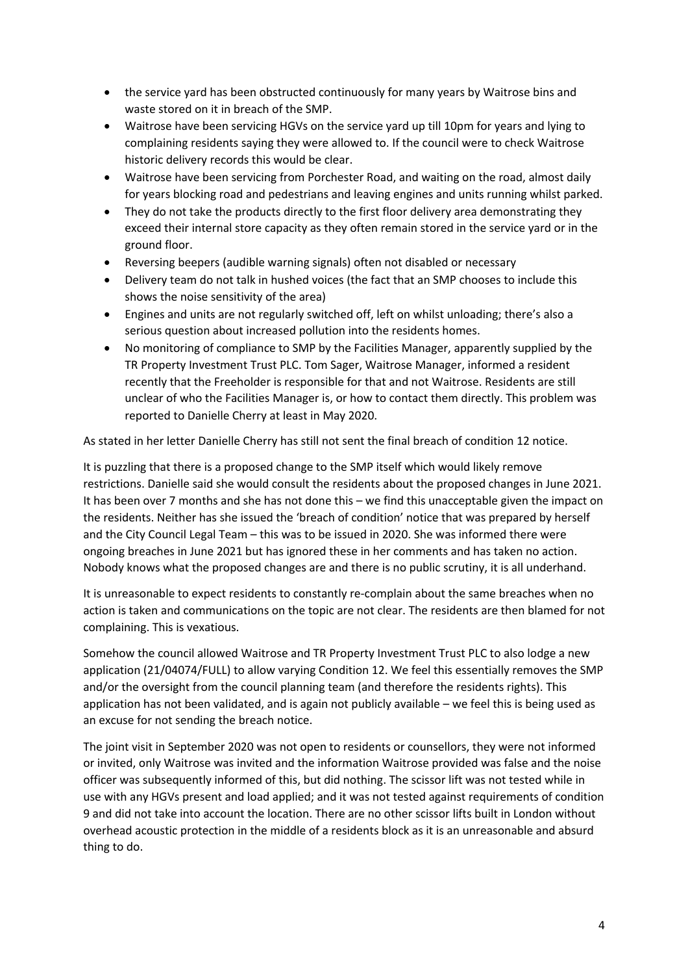- the service yard has been obstructed continuously for many years by Waitrose bins and waste stored on it in breach of the SMP.
- Waitrose have been servicing HGVs on the service yard up till 10pm for years and lying to complaining residents saying they were allowed to. If the council were to check Waitrose historic delivery records this would be clear.
- Waitrose have been servicing from Porchester Road, and waiting on the road, almost daily for years blocking road and pedestrians and leaving engines and units running whilst parked.
- They do not take the products directly to the first floor delivery area demonstrating they exceed their internal store capacity as they often remain stored in the service yard or in the ground floor.
- Reversing beepers (audible warning signals) often not disabled or necessary
- Delivery team do not talk in hushed voices (the fact that an SMP chooses to include this shows the noise sensitivity of the area)
- Engines and units are not regularly switched off, left on whilst unloading; there's also a serious question about increased pollution into the residents homes.
- No monitoring of compliance to SMP by the Facilities Manager, apparently supplied by the TR Property Investment Trust PLC. Tom Sager, Waitrose Manager, informed a resident recently that the Freeholder is responsible for that and not Waitrose. Residents are still unclear of who the Facilities Manager is, or how to contact them directly. This problem was reported to Danielle Cherry at least in May 2020.

As stated in her letter Danielle Cherry has still not sent the final breach of condition 12 notice.

It is puzzling that there is a proposed change to the SMP itself which would likely remove restrictions. Danielle said she would consult the residents about the proposed changes in June 2021. It has been over 7 months and she has not done this – we find this unacceptable given the impact on the residents. Neither has she issued the 'breach of condition' notice that was prepared by herself and the City Council Legal Team – this was to be issued in 2020. She was informed there were ongoing breaches in June 2021 but has ignored these in her comments and has taken no action. Nobody knows what the proposed changes are and there is no public scrutiny, it is all underhand.

It is unreasonable to expect residents to constantly re-complain about the same breaches when no action is taken and communications on the topic are not clear. The residents are then blamed for not complaining. This is vexatious.

Somehow the council allowed Waitrose and TR Property Investment Trust PLC to also lodge a new application (21/04074/FULL) to allow varying Condition 12. We feel this essentially removes the SMP and/or the oversight from the council planning team (and therefore the residents rights). This application has not been validated, and is again not publicly available – we feel this is being used as an excuse for not sending the breach notice.

The joint visit in September 2020 was not open to residents or counsellors, they were not informed or invited, only Waitrose was invited and the information Waitrose provided was false and the noise officer was subsequently informed of this, but did nothing. The scissor lift was not tested while in use with any HGVs present and load applied; and it was not tested against requirements of condition 9 and did not take into account the location. There are no other scissor lifts built in London without overhead acoustic protection in the middle of a residents block as it is an unreasonable and absurd thing to do.